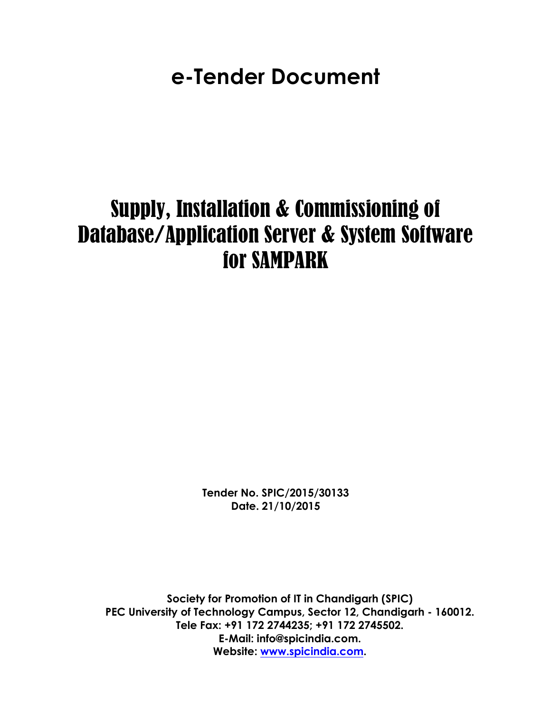**e-Tender Document**

# Supply, Installation & Commissioning of Database/Application Server & System Software for SAMPARK

**Tender No.****SPIC/2015/30133 Date.****21/10/2015** 

**Society for Promotion of IT in Chandigarh (SPIC) PEC University of Technology Campus, Sector 12, Chandigarh - 160012. Tele Fax: +91 172 2744235; +91 172 2745502. E-Mail: info@spicindia.com. Website: www.spicindia.com.**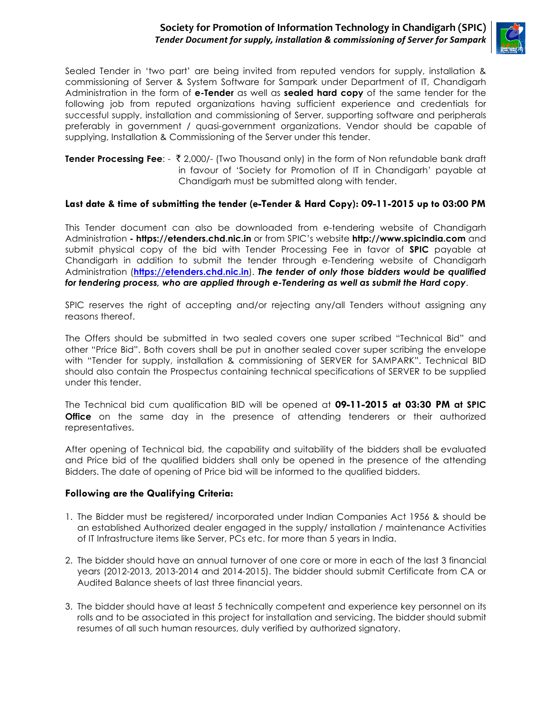## **Society for Promotion of Information Technology in Chandigarh (SPIC)** Tender Document for supply, installation & commissioning of Server for Sampark



Sealed Tender in 'two part' are being invited from reputed vendors for supply, installation & commissioning of Server & System Software for Sampark under Department of IT, Chandigarh Administration in the form of **e-Tender** as well as **sealed hard copy** of the same tender for the following job from reputed organizations having sufficient experience and credentials for successful supply, installation and commissioning of Server, supporting software and peripherals preferably in government / quasi-government organizations. Vendor should be capable of supplying, Installation & Commissioning of the Server under this tender.

**Tender Processing Fee**: - ` 2,000/- (Two Thousand only) in the form of Non refundable bank draft in favour of 'Society for Promotion of IT in Chandigarh' payable at Chandigarh must be submitted along with tender.

#### **Last date & time of submitting the tender (e-Tender & Hard Copy): 09-11-2015 up to 03:00 PM**

This Tender document can also be downloaded from e-tendering website of Chandigarh Administration **- https://etenders.chd.nic.in** or from SPIC's website **http://www.spicindia.com** and submit physical copy of the bid with Tender Processing Fee in favor of **SPIC** payable at Chandigarh in addition to submit the tender through e-Tendering website of Chandigarh Administration (**https://etenders.chd.nic.in**). *The tender of only those bidders would be qualified for tendering process, who are applied through e-Tendering as well as submit the Hard copy*.

SPIC reserves the right of accepting and/or rejecting any/all Tenders without assigning any reasons thereof.

The Offers should be submitted in two sealed covers one super scribed "Technical Bid" and other "Price Bid". Both covers shall be put in another sealed cover super scribing the envelope with "Tender for supply, installation & commissioning of SERVER for SAMPARK". Technical BID should also contain the Prospectus containing technical specifications of SERVER to be supplied under this tender.

The Technical bid cum qualification BID will be opened at **09-11-2015 at 03:30 PM at SPIC Office** on the same day in the presence of attending tenderers or their authorized representatives.

After opening of Technical bid, the capability and suitability of the bidders shall be evaluated and Price bid of the qualified bidders shall only be opened in the presence of the attending Bidders. The date of opening of Price bid will be informed to the qualified bidders.

#### **Following are the Qualifying Criteria:**

- 1. The Bidder must be registered/ incorporated under Indian Companies Act 1956 & should be an established Authorized dealer engaged in the supply/ installation / maintenance Activities of IT Infrastructure items like Server, PCs etc. for more than 5 years in India.
- 2. The bidder should have an annual turnover of one core or more in each of the last 3 financial years (2012-2013, 2013-2014 and 2014-2015). The bidder should submit Certificate from CA or Audited Balance sheets of last three financial years.
- 3. The bidder should have at least 5 technically competent and experience key personnel on its rolls and to be associated in this project for installation and servicing. The bidder should submit resumes of all such human resources, duly verified by authorized signatory.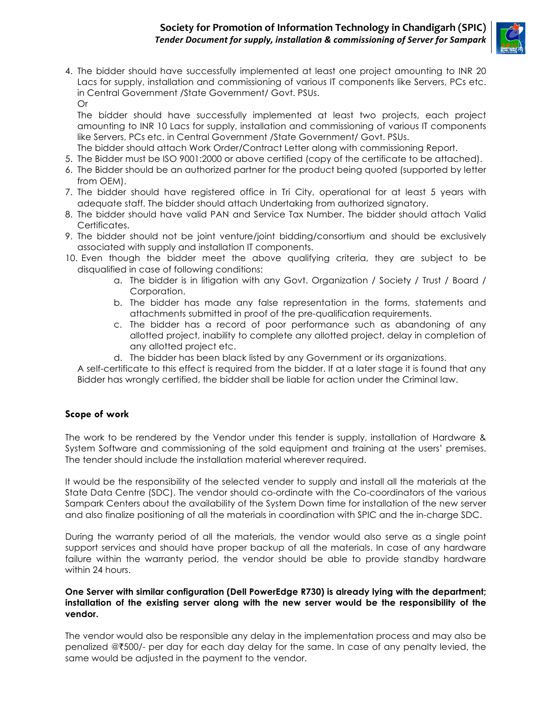

4. The bidder should have successfully implemented at least one project amounting to INR 20 Lacs for supply, installation and commissioning of various IT components like Servers, PCs etc. in Central Government /State Government/ Govt. PSUs. Or

The bidder should have successfully implemented at least two projects, each project amounting to INR 10 Lacs for supply, installation and commissioning of various IT components like Servers, PCs etc. in Central Government /State Government/ Govt. PSUs.

- The bidder should attach Work Order/Contract Letter along with commissioning Report.
- 5. The Bidder must be ISO 9001:2000 or above certified (copy of the certificate to be attached).
- 6. The Bidder should be an authorized partner for the product being quoted (supported by letter from OEM).
- 7. The bidder should have registered office in Tri City, operational for at least 5 years with adequate staff. The bidder should attach Undertaking from authorized signatory.
- 8. The bidder should have valid PAN and Service Tax Number. The bidder should attach Valid Certificates.
- 9. The bidder should not be joint venture/joint bidding/consortium and should be exclusively associated with supply and installation IT components.
- 10. Even though the bidder meet the above qualifying criteria, they are subject to be disqualified in case of following conditions:
	- a. The bidder is in litigation with any Govt. Organization / Society / Trust / Board / Corporation.
	- b. The bidder has made any false representation in the forms, statements and attachments submitted in proof of the pre-qualification requirements.
	- c. The bidder has a record of poor performance such as abandoning of any allotted project, inability to complete any allotted project, delay in completion of any allotted project etc.
	- d. The bidder has been black listed by any Government or its organizations.

A self-certificate to this effect is required from the bidder. If at a later stage it is found that any Bidder has wrongly certified, the bidder shall be liable for action under the Criminal law.

# **Scope of work**

The work to be rendered by the Vendor under this tender is supply, installation of Hardware & System Software and commissioning of the sold equipment and training at the users' premises. The tender should include the installation material wherever required.

It would be the responsibility of the selected vender to supply and install all the materials at the State Data Centre (SDC). The vendor should co-ordinate with the Co-coordinators of the various Sampark Centers about the availability of the System Down time for installation of the new server and also finalize positioning of all the materials in coordination with SPIC and the in-charge SDC.

During the warranty period of all the materials, the vendor would also serve as a single point support services and should have proper backup of all the materials. In case of any hardware failure within the warranty period, the vendor should be able to provide standby hardware within 24 hours.

#### **One Server with similar configuration (Dell PowerEdge R730) is already lying with the department; installation of the existing server along with the new server would be the responsibility of the vendor.**

The vendor would also be responsible any delay in the implementation process and may also be penalized @`500/- per day for each day delay for the same. In case of any penalty levied, the same would be adjusted in the payment to the vendor.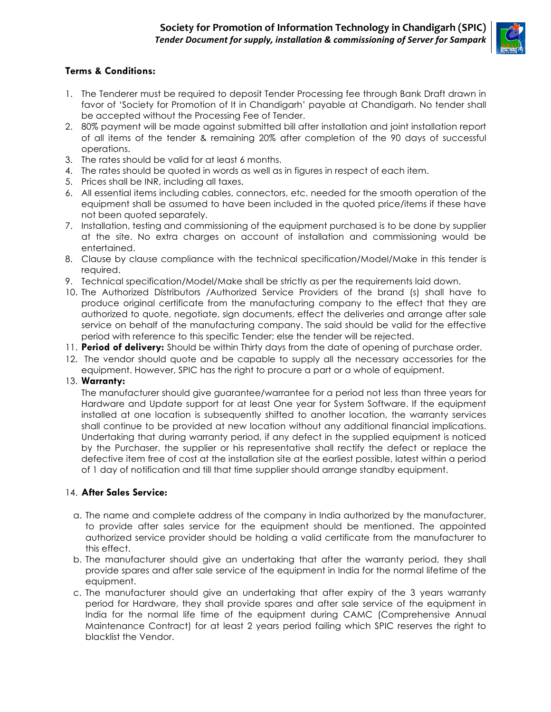

# **Terms & Conditions:**

- 1. The Tenderer must be required to deposit Tender Processing fee through Bank Draft drawn in favor of 'Society for Promotion of It in Chandigarh' payable at Chandigarh. No tender shall be accepted without the Processing Fee of Tender.
- 2. 80% payment will be made against submitted bill after installation and joint installation report of all items of the tender & remaining 20% after completion of the 90 days of successful operations.
- 3. The rates should be valid for at least 6 months.
- 4. The rates should be quoted in words as well as in figures in respect of each item.
- 5. Prices shall be INR, including all taxes.
- 6. All essential items including cables, connectors, etc. needed for the smooth operation of the equipment shall be assumed to have been included in the quoted price/items if these have not been quoted separately.
- 7. Installation, testing and commissioning of the equipment purchased is to be done by supplier at the site. No extra charges on account of installation and commissioning would be entertained.
- 8. Clause by clause compliance with the technical specification/Model/Make in this tender is required.
- 9. Technical specification/Model/Make shall be strictly as per the requirements laid down.
- 10. The Authorized Distributors /Authorized Service Providers of the brand (s) shall have to produce original certificate from the manufacturing company to the effect that they are authorized to quote, negotiate, sign documents, effect the deliveries and arrange after sale service on behalf of the manufacturing company. The said should be valid for the effective period with reference to this specific Tender; else the tender will be rejected.
- 11. **Period of delivery:** Should be within Thirty days from the date of opening of purchase order.
- 12. The vendor should quote and be capable to supply all the necessary accessories for the equipment. However, SPIC has the right to procure a part or a whole of equipment.

#### 13. **Warranty:**

The manufacturer should give guarantee/warrantee for a period not less than three years for Hardware and Update support for at least One year for System Software. If the equipment installed at one location is subsequently shifted to another location, the warranty services shall continue to be provided at new location without any additional financial implications. Undertaking that during warranty period, if any defect in the supplied equipment is noticed by the Purchaser, the supplier or his representative shall rectify the defect or replace the defective item free of cost at the installation site at the earliest possible, latest within a period of 1 day of notification and till that time supplier should arrange standby equipment.

## 14. **After Sales Service:**

- a. The name and complete address of the company in India authorized by the manufacturer, to provide after sales service for the equipment should be mentioned. The appointed authorized service provider should be holding a valid certificate from the manufacturer to this effect.
- b. The manufacturer should give an undertaking that after the warranty period, they shall provide spares and after sale service of the equipment in India for the normal lifetime of the equipment.
- c. The manufacturer should give an undertaking that after expiry of the 3 years warranty period for Hardware, they shall provide spares and after sale service of the equipment in India for the normal life time of the equipment during CAMC (Comprehensive Annual Maintenance Contract) for at least 2 years period failing which SPIC reserves the right to blacklist the Vendor.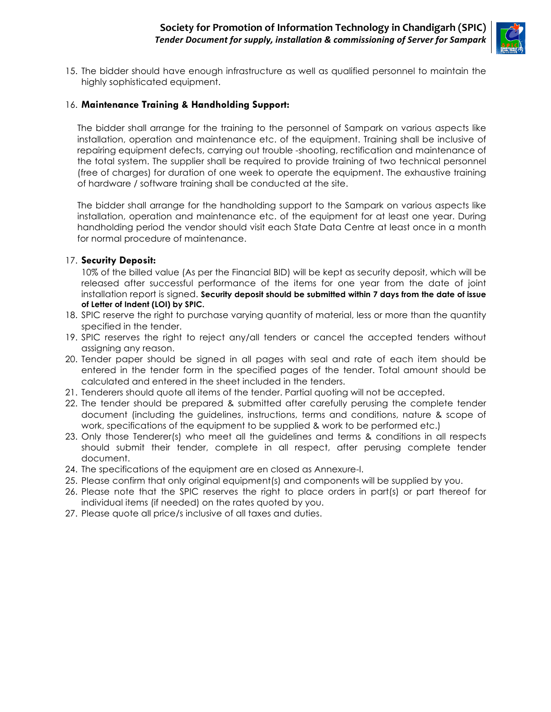

15. The bidder should have enough infrastructure as well as qualified personnel to maintain the highly sophisticated equipment.

## 16. **Maintenance Training & Handholding Support:**

The bidder shall arrange for the training to the personnel of Sampark on various aspects like installation, operation and maintenance etc. of the equipment. Training shall be inclusive of repairing equipment defects, carrying out trouble -shooting, rectification and maintenance of the total system. The supplier shall be required to provide training of two technical personnel (free of charges) for duration of one week to operate the equipment. The exhaustive training of hardware / software training shall be conducted at the site.

The bidder shall arrange for the handholding support to the Sampark on various aspects like installation, operation and maintenance etc. of the equipment for at least one year. During handholding period the vendor should visit each State Data Centre at least once in a month for normal procedure of maintenance.

#### 17. **Security Deposit:**

10% of the billed value (As per the Financial BID) will be kept as security deposit, which will be released after successful performance of the items for one year from the date of joint installation report is signed. **Security deposit should be submitted within 7 days from the date of issue of Letter of Indent (LOI) by SPIC.** 

- 18. SPIC reserve the right to purchase varying quantity of material, less or more than the quantity specified in the tender.
- 19. SPIC reserves the right to reject any/all tenders or cancel the accepted tenders without assigning any reason.
- 20. Tender paper should be signed in all pages with seal and rate of each item should be entered in the tender form in the specified pages of the tender. Total amount should be calculated and entered in the sheet included in the tenders.
- 21. Tenderers should quote all items of the tender. Partial quoting will not be accepted.
- 22. The tender should be prepared & submitted after carefully perusing the complete tender document (including the guidelines, instructions, terms and conditions, nature & scope of work, specifications of the equipment to be supplied & work to be performed etc.)
- 23. Only those Tenderer(s) who meet all the guidelines and terms & conditions in all respects should submit their tender, complete in all respect, after perusing complete tender document.
- 24. The specifications of the equipment are en closed as Annexure-I.
- 25. Please confirm that only original equipment(s) and components will be supplied by you.
- 26. Please note that the SPIC reserves the right to place orders in part(s) or part thereof for individual items (if needed) on the rates quoted by you.
- 27. Please quote all price/s inclusive of all taxes and duties.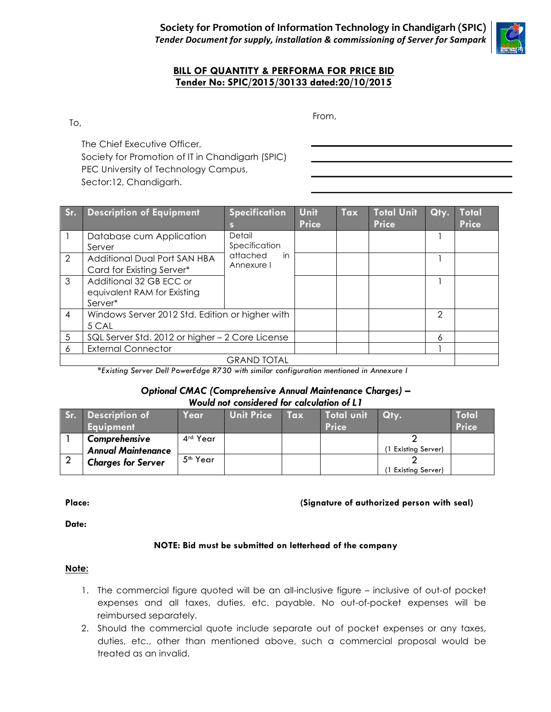

## **BILL OF QUANTITY & PERFORMA FOR PRICE BID Tender No: SPIC/2015/30133 dated:20/10/2015**

To,

From,

The Chief Executive Officer, Society for Promotion of IT in Chandigarh (SPIC) PEC University of Technology Campus, Sector:12, Chandigarh.

| Sr.                | <b>Description of Equipment</b>                 | <b>Specification</b>                                    | Unit         | Tax | Total Unit   | Qty. | Total        |  |
|--------------------|-------------------------------------------------|---------------------------------------------------------|--------------|-----|--------------|------|--------------|--|
|                    |                                                 | S                                                       | <b>Price</b> |     | <b>Price</b> |      | <b>Price</b> |  |
|                    | Database cum Application                        | Detail<br>Specification<br>attached<br>in<br>Annexure I |              |     |              |      |              |  |
|                    | Server                                          |                                                         |              |     |              |      |              |  |
| 2                  | Additional Dual Port SAN HBA                    |                                                         |              |     |              |      |              |  |
|                    | Card for Existing Server*                       |                                                         |              |     |              |      |              |  |
| 3                  | Additional 32 GB ECC or                         |                                                         |              |     |              |      |              |  |
|                    | equivalent RAM for Existing                     |                                                         |              |     |              |      |              |  |
|                    | Server*                                         |                                                         |              |     |              |      |              |  |
| 4                  | Windows Server 2012 Std. Edition or higher with |                                                         |              |     |              | 2    |              |  |
|                    | 5 CAL                                           |                                                         |              |     |              |      |              |  |
| 5                  | SQL Server Std. 2012 or higher - 2 Core License |                                                         |              |     | 6            |      |              |  |
| 6                  | <b>External Connector</b>                       |                                                         |              |     |              |      |              |  |
| <b>GRAND TOTAL</b> |                                                 |                                                         |              |     |              |      |              |  |

*\*Existing Server Dell PowerEdge R730 with similar configuration mentioned in Annexure I*

## *Optional CMAC (Comprehensive Annual Maintenance Charges) – Would not considered for calculation of L1*

| Sr. | <b>Description of</b><br><b>Equipment</b>                               | Year                 | <b>Unit Price</b> | Tax | Total unit<br><b>Price</b> | Qty.                    | Total<br><b>Price</b> |
|-----|-------------------------------------------------------------------------|----------------------|-------------------|-----|----------------------------|-------------------------|-----------------------|
|     | Comprehensive<br><b>Annual Maintenance</b><br><b>Charges for Server</b> | 4rd Year             |                   |     |                            | 1 Existing Server)      |                       |
|     |                                                                         | 5 <sup>th</sup> Year |                   |     |                            | <b>Existing Server)</b> |                       |

## **Place: (Signature of authorized person with seal)**

**Date:** 

## **NOTE: Bid must be submitted on letterhead of the company**

## **Note:**

- 1. The commercial figure quoted will be an all-inclusive figure inclusive of out-of pocket expenses and all taxes, duties, etc. payable. No out-of-pocket expenses will be reimbursed separately.
- 2. Should the commercial quote include separate out of pocket expenses or any taxes, duties, etc., other than mentioned above, such a commercial proposal would be treated as an invalid.